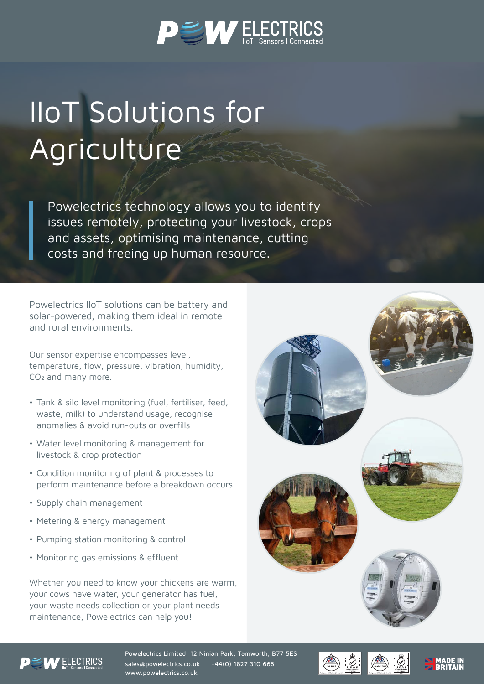

## IIoT Solutions for **Agriculture**

Powelectrics technology allows you to identify issues remotely, protecting your livestock, crops and assets, optimising maintenance, cutting costs and freeing up human resource.

Powelectrics IIoT solutions can be battery and solar-powered, making them ideal in remote and rural environments.

Our sensor expertise encompasses level, temperature, flow, pressure, vibration, humidity, CO2 and many more.

- Tank & silo level monitoring (fuel, fertiliser, feed, waste, milk) to understand usage, recognise anomalies & avoid run-outs or overfills
- Water level monitoring & management for livestock & crop protection
- Condition monitoring of plant & processes to perform maintenance before a breakdown occurs
- Supply chain management
- Metering & energy management
- Pumping station monitoring & control
- Monitoring gas emissions & effluent

Whether you need to know your chickens are warm, your cows have water, your generator has fuel, your waste needs collection or your plant needs maintenance, Powelectrics can help you!





Powelectrics Limited. 12 Ninian Park, Tamworth, B77 5ES sales@powelectrics.co.uk +44(0) 1827 310 666 www.powelectrics.co.uk